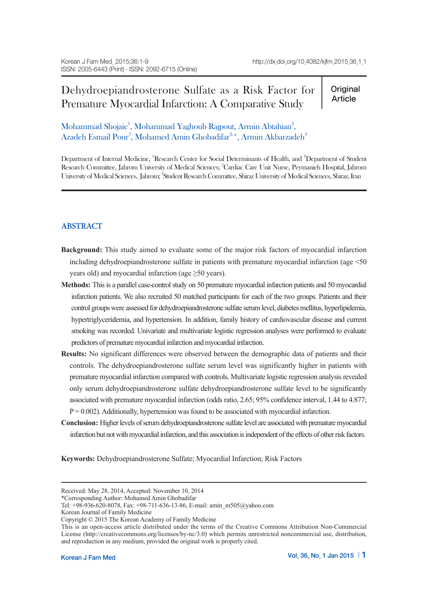# Dehydroepiandrosterone Sulfate as a Risk Factor for Premature Myocardial Infarction: A Comparative Study

**Original** Article

Mohammad Shojaie<sup>1</sup>, Mohammad Yaghoub Rajpout, Armin Abtahian<sup>2</sup>, Azadeh Esmail Pour $^3$ , Mohamed Amin Ghobadifar $^{2,\ast},$  Armin Akbarzadeh $^4$ 

Department of Internal Medicine, <sup>1</sup>Research Center for Social Determinants of Health, and <sup>2</sup>Department of Student Research Committee, Jahrom University of Medical Sciences; <sup>3</sup>Cardiac Care Unit Nurse, Peymanieh Hospital, Jahrom University of Medical Sciences, Jahrom; 4 Student Research Committee, Shiraz University of Medical Sciences, Shiraz, Iran

## **ABSTRACT**

- **Background:** This study aimed to evaluate some of the major risk factors of myocardial infarction including dehydroepiandrosterone sulfate in patients with premature myocardial infarction (age <50 years old) and myocardial infarction (age ≥50 years).
- **Methods:** This is a parallel case-control study on 50 premature myocardial infarction patients and 50 myocardial infarction patients. We also recruited 50 matched participants for each of the two groups. Patients and their control groups were assessed for dehydroepiandrosterone sulfate serum level, diabetes mellitus, hyperlipidemia, hypertriglyceridemia, and hypertension. In addition, family history of cardiovascular disease and current smoking was recorded. Univariate and multivariate logistic regression analyses were performed to evaluate predictors of premature myocardial infarction and myocardial infarction.
- **Results:** No significant differences were observed between the demographic data of patients and their controls. The dehydroepiandrosterone sulfate serum level was significantly higher in patients with premature myocardial infarction compared with controls. Multivariate logistic regression analysis revealed only serum dehydroepiandrosterone sulfate dehydroepiandrosterone sulfate level to be significantly associated with premature myocardial infarction (odds ratio, 2.65; 95% confidence interval, 1.44 to 4.877;  $P = 0.002$ ). Additionally, hypertension was found to be associated with myocardial infarction.
- **Conclusion:** Higher levels of serum dehydroepiandrosterone sulfate level are associated with premature myocardial infarction but not with myocardial infarction, and this association is independent of the effects of other risk factors.

**Keywords:** Dehydroepiandrosterone Sulfate; Myocardial Infarction; Risk Factors

\*Corresponding Author: Mohamed Amin Ghobadifar

Received: May 28, 2014, Accepted: November 10, 2014

Tel: +98-936-620-8078, Fax: +98-711-636-13-86, E-mail: amin\_m505@yahoo.com

Korean Journal of Family Medicine

Copyright © 2015 The Korean Academy of Family Medicine

This is an open-access article distributed under the terms of the Creative Commons Attribution Non-Commercial License (http://creativecommons.org/licenses/by-nc/3.0) which permits unrestricted noncommercial use, distribution, and reproduction in any medium, provided the original work is properly cited.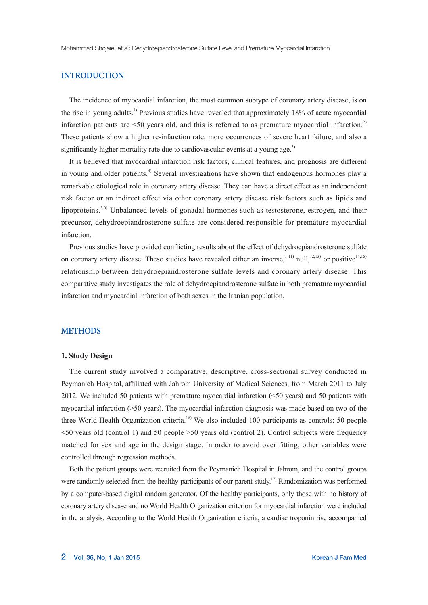Mohammad Shojaie, et al: Dehydroepiandrosterone Sulfate Level and Premature Myocardial Infarction

## **INTRODUCTION**

The incidence of myocardial infarction, the most common subtype of coronary artery disease, is on the rise in young adults.<sup>1)</sup> Previous studies have revealed that approximately 18% of acute myocardial infarction patients are  $\leq 50$  vears old, and this is referred to as premature myocardial infarction.<sup>2)</sup> These patients show a higher re-infarction rate, more occurrences of severe heart failure, and also a significantly higher mortality rate due to cardiovascular events at a young age.<sup>3)</sup>

It is believed that myocardial infarction risk factors, clinical features, and prognosis are different in young and older patients.<sup>4)</sup> Several investigations have shown that endogenous hormones play a remarkable etiological role in coronary artery disease. They can have a direct effect as an independent risk factor or an indirect effect via other coronary artery disease risk factors such as lipids and lipoproteins.<sup>5,6)</sup> Unbalanced levels of gonadal hormones such as testosterone, estrogen, and their precursor, dehydroepiandrosterone sulfate are considered responsible for premature myocardial infarction.

Previous studies have provided conflicting results about the effect of dehydroepiandrosterone sulfate on coronary artery disease. These studies have revealed either an inverse,<sup>7-11)</sup> null,<sup>12,13)</sup> or positive<sup>14,15)</sup> relationship between dehydroepiandrosterone sulfate levels and coronary artery disease. This comparative study investigates the role of dehydroepiandrosterone sulfate in both premature myocardial infarction and myocardial infarction of both sexes in the Iranian population.

#### **METHODS**

#### **1. Study Design**

The current study involved a comparative, descriptive, cross-sectional survey conducted in Peymanieh Hospital, affiliated with Jahrom University of Medical Sciences, from March 2011 to July 2012. We included 50 patients with premature myocardial infarction (<50 years) and 50 patients with myocardial infarction (>50 years). The myocardial infarction diagnosis was made based on two of the three World Health Organization criteria.<sup>16)</sup> We also included 100 participants as controls: 50 people <50 years old (control 1) and 50 people >50 years old (control 2). Control subjects were frequency matched for sex and age in the design stage. In order to avoid over fitting, other variables were controlled through regression methods.

Both the patient groups were recruited from the Peymanieh Hospital in Jahrom, and the control groups were randomly selected from the healthy participants of our parent study.<sup>17)</sup> Randomization was performed by a computer-based digital random generator. Of the healthy participants, only those with no history of coronary artery disease and no World Health Organization criterion for myocardial infarction were included in the analysis. According to the World Health Organization criteria, a cardiac troponin rise accompanied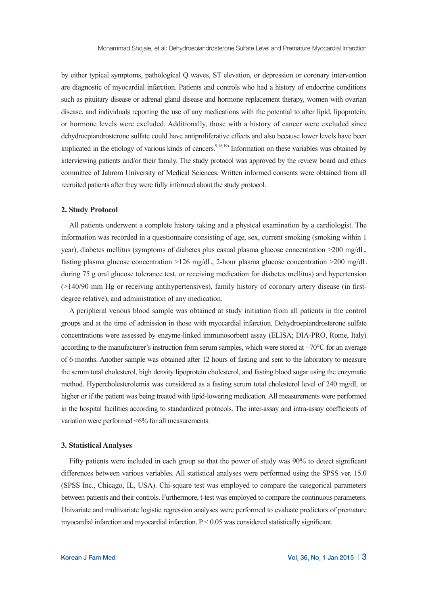by either typical symptoms, pathological Q waves, ST elevation, or depression or coronary intervention are diagnostic of myocardial infarction. Patients and controls who had a history of endocrine conditions such as pituitary disease or adrenal gland disease and hormone replacement therapy, women with ovarian disease, and individuals reporting the use of any medications with the potential to alter lipid, lipoprotein, or hormone levels were excluded. Additionally, those with a history of cancer were excluded since dehydroepiandrosterone sulfate could have antiproliferative effects and also because lower levels have been implicated in the etiology of various kinds of cancers.<sup>9,18,19)</sup> Information on these variables was obtained by interviewing patients and/or their family. The study protocol was approved by the review board and ethics committee of Jahrom University of Medical Sciences. Written informed consents were obtained from all recruited patients after they were fully informed about the study protocol.

#### **2. Study Protocol**

All patients underwent a complete history taking and a physical examination by a cardiologist. The information was recorded in a questionnaire consisting of age, sex, current smoking (smoking within 1 year), diabetes mellitus (symptoms of diabetes plus casual plasma glucose concentration >200 mg/dL, fasting plasma glucose concentration  $>126$  mg/dL, 2-hour plasma glucose concentration  $>200$  mg/dL during 75 g oral glucose tolerance test, or receiving medication for diabetes mellitus) and hypertension (>140/90 mm Hg or receiving antihypertensives), family history of coronary artery disease (in firstdegree relative), and administration of any medication.

A peripheral venous blood sample was obtained at study initiation from all patients in the control groups and at the time of admission in those with myocardial infarction. Dehydroepiandrosterone sulfate concentrations were assessed by enzyme-linked immunosorbent assay (ELISA; DIA-PRO, Rome, Italy) according to the manufacturer's instruction from serum samples, which were stored at −70°C for an average of 6 months. Another sample was obtained after 12 hours of fasting and sent to the laboratory to measure the serum total cholesterol, high density lipoprotein cholesterol, and fasting blood sugar using the enzymatic method. Hypercholesterolemia was considered as a fasting serum total cholesterol level of 240 mg/dL or higher or if the patient was being treated with lipid-lowering medication. All measurements were performed in the hospital facilities according to standardized protocols. The inter-assay and intra-assay coefficients of variation were performed <6% for all measurements.

#### **3. Statistical Analyses**

Fifty patients were included in each group so that the power of study was 90% to detect significant differences between various variables. All statistical analyses were performed using the SPSS ver. 15.0 (SPSS Inc., Chicago, IL, USA). Chi-square test was employed to compare the categorical parameters between patients and their controls. Furthermore, t-test was employed to compare the continuous parameters. Univariate and multivariate logistic regression analyses were performed to evaluate predictors of premature myocardial infarction and myocardial infarction. P < 0.05 was considered statistically significant.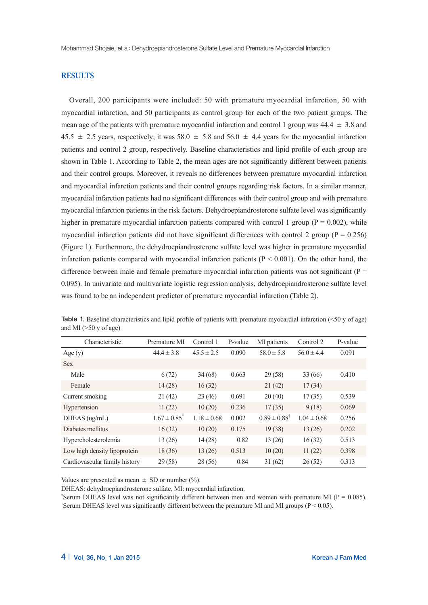Mohammad Shojaie, et al: Dehydroepiandrosterone Sulfate Level and Premature Myocardial Infarction

## **RESULTS**

Overall, 200 participants were included: 50 with premature myocardial infarction, 50 with myocardial infarction, and 50 participants as control group for each of the two patient groups. The mean age of the patients with premature myocardial infarction and control 1 group was  $44.4 \pm 3.8$  and  $45.5 \pm 2.5$  years, respectively; it was  $58.0 \pm 5.8$  and  $56.0 \pm 4.4$  years for the myocardial infarction patients and control 2 group, respectively. Baseline characteristics and lipid profile of each group are shown in Table 1. According to Table 2, the mean ages are not significantly different between patients and their control groups. Moreover, it reveals no differences between premature myocardial infarction and myocardial infarction patients and their control groups regarding risk factors. In a similar manner, myocardial infarction patients had no significant differences with their control group and with premature myocardial infarction patients in the risk factors. Dehydroepiandrosterone sulfate level was significantly higher in premature myocardial infarction patients compared with control 1 group ( $P = 0.002$ ), while myocardial infarction patients did not have significant differences with control 2 group ( $P = 0.256$ ) (Figure 1). Furthermore, the dehydroepiandrosterone sulfate level was higher in premature myocardial infarction patients compared with myocardial infarction patients ( $P < 0.001$ ). On the other hand, the difference between male and female premature myocardial infarction patients was not significant ( $P =$ 0.095). In univariate and multivariate logistic regression analysis, dehydroepiandrosterone sulfate level was found to be an independent predictor of premature myocardial infarction (Table 2).

| Characteristic                | Premature MI      | Control 1       | P-value | MI patients               | Control 2       | P-value |
|-------------------------------|-------------------|-----------------|---------|---------------------------|-----------------|---------|
| Age $(y)$                     | $44.4 \pm 3.8$    | $45.5 \pm 2.5$  | 0.090   | $58.0 \pm 5.8$            | $56.0 \pm 4.4$  | 0.091   |
| <b>Sex</b>                    |                   |                 |         |                           |                 |         |
| Male                          | 6(72)             | 34(68)          | 0.663   | 29(58)                    | 33(66)          | 0.410   |
| Female                        | 14(28)            | 16(32)          |         | 21(42)                    | 17(34)          |         |
| Current smoking               | 21 (42)           | 23(46)          | 0.691   | 20(40)                    | 17(35)          | 0.539   |
| Hypertension                  | 11(22)            | 10(20)          | 0.236   | 17(35)                    | 9(18)           | 0.069   |
| DHEAS (ug/mL)                 | $1.67 \pm 0.85^*$ | $1.18 \pm 0.68$ | 0.002   | $0.89 \pm 0.88^{\dagger}$ | $1.04 \pm 0.68$ | 0.256   |
| Diabetes mellitus             | 16(32)            | 10(20)          | 0.175   | 19(38)                    | 13(26)          | 0.202   |
| Hypercholesterolemia          | 13 (26)           | 14(28)          | 0.82    | 13(26)                    | 16(32)          | 0.513   |
| Low high density lipoprotein  | 18(36)            | 13(26)          | 0.513   | 10(20)                    | 11(22)          | 0.398   |
| Cardiovascular family history | 29(58)            | 28(56)          | 0.84    | 31(62)                    | 26(52)          | 0.313   |

Table 1. Baseline characteristics and lipid profile of patients with premature myocardial infarction (<50 y of age) and MI  $($ >50 y of age)

Values are presented as mean  $\pm$  SD or number (%).

DHEAS: dehydroepiandrosterone sulfate, MI: myocardial infarction.

\*Serum DHEAS level was not significantly different between men and women with premature MI ( $P = 0.085$ ). † Serum DHEAS level was significantly different between the premature MI and MI groups (P < 0.05).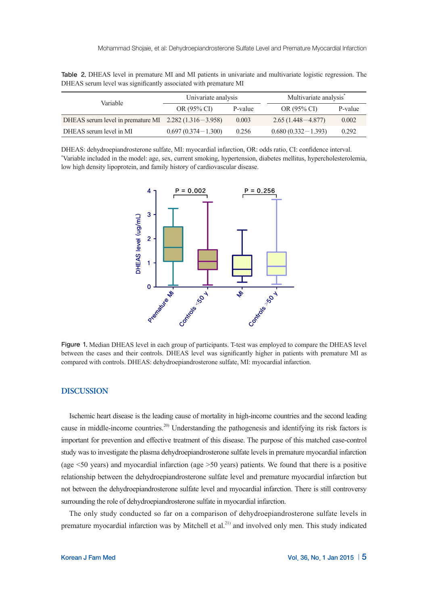|                                                              | Univariate analysis    |         | Multivariate analysis <sup>*</sup> |         |  |
|--------------------------------------------------------------|------------------------|---------|------------------------------------|---------|--|
| Variable                                                     | OR (95% CI)            | P-value | OR (95% CI)                        | P-value |  |
| DHEAS serum level in premature MI $\,$ 2.282 (1.316 – 3.958) |                        | 0.003   | $2.65(1.448 - 4.877)$              | 0.002   |  |
| DHEAS serum level in MI                                      | $0.697(0.374 - 1.300)$ | 0.256   | $0.680(0.332 - 1.393)$             | 0.292   |  |

Table 2. DHEAS level in premature MI and MI patients in univariate and multivariate logistic regression. The DHEAS serum level was significantly associated with premature MI

DHEAS: dehydroepiandrosterone sulfate, MI: myocardial infarction, OR: odds ratio, CI: confidence interval. \* Variable included in the model: age, sex, current smoking, hypertension, diabetes mellitus, hypercholesterolemia, low high density lipoprotein, and family history of cardiovascular disease.



Figure 1. Median DHEAS level in each group of participants. T-test was employed to compare the DHEAS level between the cases and their controls. DHEAS level was significantly higher in patients with premature MI as compared with controls. DHEAS: dehydroepiandrosterone sulfate, MI: myocardial infarction.

### **DISCUSSION**

Ischemic heart disease is the leading cause of mortality in high-income countries and the second leading cause in middle-income countries.<sup>20)</sup> Understanding the pathogenesis and identifying its risk factors is important for prevention and effective treatment of this disease. The purpose of this matched case-control study was to investigate the plasma dehydroepiandrosterone sulfate levels in premature myocardial infarction (age <50 years) and myocardial infarction (age >50 years) patients. We found that there is a positive relationship between the dehydroepiandrosterone sulfate level and premature myocardial infarction but not between the dehydroepiandrosterone sulfate level and myocardial infarction. There is still controversy surrounding the role of dehydroepiandrosterone sulfate in myocardial infarction.

The only study conducted so far on a comparison of dehydroepiandrosterone sulfate levels in premature myocardial infarction was by Mitchell et al.<sup>21)</sup> and involved only men. This study indicated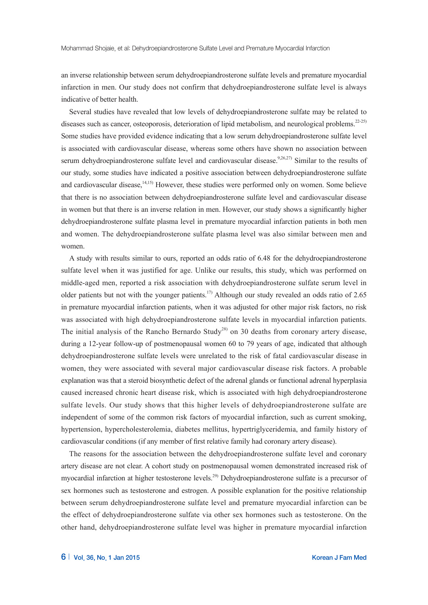an inverse relationship between serum dehydroepiandrosterone sulfate levels and premature myocardial infarction in men. Our study does not confirm that dehydroepiandrosterone sulfate level is always indicative of better health.

Several studies have revealed that low levels of dehydroepiandrosterone sulfate may be related to diseases such as cancer, osteoporosis, deterioration of lipid metabolism, and neurological problems.<sup>22-25)</sup> Some studies have provided evidence indicating that a low serum dehydroepiandrosterone sulfate level is associated with cardiovascular disease, whereas some others have shown no association between serum dehydroepiandrosterone sulfate level and cardiovascular disease.<sup>9,26,27)</sup> Similar to the results of our study, some studies have indicated a positive association between dehydroepiandrosterone sulfate and cardiovascular disease, $14,15$  However, these studies were performed only on women. Some believe that there is no association between dehydroepiandrosterone sulfate level and cardiovascular disease in women but that there is an inverse relation in men. However, our study shows a significantly higher dehydroepiandrosterone sulfate plasma level in premature myocardial infarction patients in both men and women. The dehydroepiandrosterone sulfate plasma level was also similar between men and women.

A study with results similar to ours, reported an odds ratio of 6.48 for the dehydroepiandrosterone sulfate level when it was justified for age. Unlike our results, this study, which was performed on middle-aged men, reported a risk association with dehydroepiandrosterone sulfate serum level in older patients but not with the younger patients.<sup>17</sup> Although our study revealed an odds ratio of 2.65 in premature myocardial infarction patients, when it was adjusted for other major risk factors, no risk was associated with high dehydroepiandrosterone sulfate levels in myocardial infarction patients. The initial analysis of the Rancho Bernardo Study<sup>28)</sup> on 30 deaths from coronary artery disease, during a 12-year follow-up of postmenopausal women 60 to 79 years of age, indicated that although dehydroepiandrosterone sulfate levels were unrelated to the risk of fatal cardiovascular disease in women, they were associated with several major cardiovascular disease risk factors. A probable explanation was that a steroid biosynthetic defect of the adrenal glands or functional adrenal hyperplasia caused increased chronic heart disease risk, which is associated with high dehydroepiandrosterone sulfate levels. Our study shows that this higher levels of dehydroepiandrosterone sulfate are independent of some of the common risk factors of myocardial infarction, such as current smoking, hypertension, hypercholesterolemia, diabetes mellitus, hypertriglyceridemia, and family history of cardiovascular conditions (if any member of first relative family had coronary artery disease).

The reasons for the association between the dehydroepiandrosterone sulfate level and coronary artery disease are not clear. A cohort study on postmenopausal women demonstrated increased risk of myocardial infarction at higher testosterone levels.<sup>29)</sup> Dehydroepiandrosterone sulfate is a precursor of sex hormones such as testosterone and estrogen. A possible explanation for the positive relationship between serum dehydroepiandrosterone sulfate level and premature myocardial infarction can be the effect of dehydroepiandrosterone sulfate via other sex hormones such as testosterone. On the other hand, dehydroepiandrosterone sulfate level was higher in premature myocardial infarction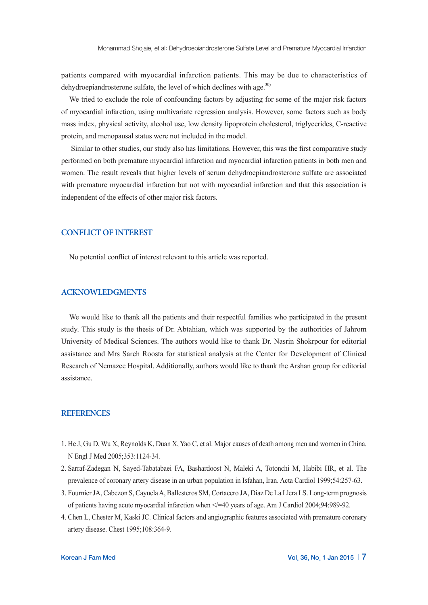patients compared with myocardial infarction patients. This may be due to characteristics of dehydroepiandrosterone sulfate, the level of which declines with age. $30$ 

We tried to exclude the role of confounding factors by adjusting for some of the major risk factors of myocardial infarction, using multivariate regression analysis. However, some factors such as body mass index, physical activity, alcohol use, low density lipoprotein cholesterol, triglycerides, C-reactive protein, and menopausal status were not included in the model.

 Similar to other studies, our study also has limitations. However, this was the first comparative study performed on both premature myocardial infarction and myocardial infarction patients in both men and women. The result reveals that higher levels of serum dehydroepiandrosterone sulfate are associated with premature myocardial infarction but not with myocardial infarction and that this association is independent of the effects of other major risk factors.

## **CONFLICT OF INTEREST**

No potential conflict of interest relevant to this article was reported.

#### **ACKNOWLEDGMENTS**

We would like to thank all the patients and their respectful families who participated in the present study. This study is the thesis of Dr. Abtahian, which was supported by the authorities of Jahrom University of Medical Sciences. The authors would like to thank Dr. Nasrin Shokrpour for editorial assistance and Mrs Sareh Roosta for statistical analysis at the Center for Development of Clinical Research of Nemazee Hospital. Additionally, authors would like to thank the Arshan group for editorial assistance.

#### **REFERENCES**

- 1. He J, Gu D, Wu X, Reynolds K, Duan X, Yao C, et al. Major causes of death among men and women in China. N Engl J Med 2005;353:1124-34.
- 2. Sarraf-Zadegan N, Sayed-Tabatabaei FA, Bashardoost N, Maleki A, Totonchi M, Habibi HR, et al. The prevalence of coronary artery disease in an urban population in Isfahan, Iran. Acta Cardiol 1999;54:257-63.
- 3. Fournier JA, Cabezon S, Cayuela A, Ballesteros SM, Cortacero JA, Diaz De La Llera LS. Long-term prognosis of patients having acute myocardial infarction when </=40 years of age. Am J Cardiol 2004;94:989-92.
- 4. Chen L, Chester M, Kaski JC. Clinical factors and angiographic features associated with premature coronary artery disease. Chest 1995;108:364-9.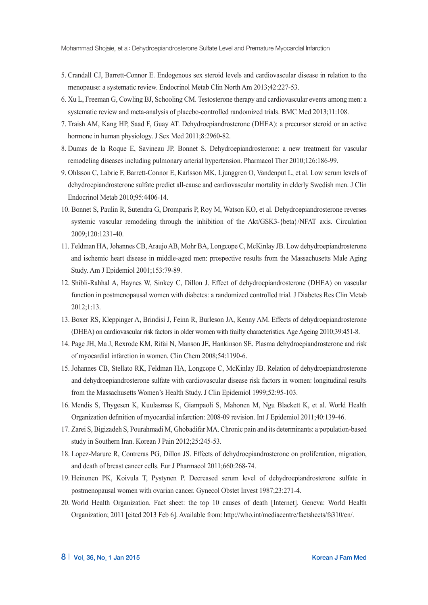- 5. Crandall CJ, Barrett-Connor E. Endogenous sex steroid levels and cardiovascular disease in relation to the menopause: a systematic review. Endocrinol Metab Clin North Am 2013;42:227-53.
- 6. Xu L, Freeman G, Cowling BJ, Schooling CM. Testosterone therapy and cardiovascular events among men: a systematic review and meta-analysis of placebo-controlled randomized trials. BMC Med 2013;11:108.
- 7. Traish AM, Kang HP, Saad F, Guay AT. Dehydroepiandrosterone (DHEA): a precursor steroid or an active hormone in human physiology. J Sex Med 2011;8:2960-82.
- 8. Dumas de la Roque E, Savineau JP, Bonnet S. Dehydroepiandrosterone: a new treatment for vascular remodeling diseases including pulmonary arterial hypertension. Pharmacol Ther 2010;126:186-99.
- 9. Ohlsson C, Labrie F, Barrett-Connor E, Karlsson MK, Ljunggren O, Vandenput L, et al. Low serum levels of dehydroepiandrosterone sulfate predict all-cause and cardiovascular mortality in elderly Swedish men. J Clin Endocrinol Metab 2010;95:4406-14.
- 10. Bonnet S, Paulin R, Sutendra G, Dromparis P, Roy M, Watson KO, et al. Dehydroepiandrosterone reverses systemic vascular remodeling through the inhibition of the Akt/GSK3-{beta}/NFAT axis. Circulation 2009;120:1231-40.
- 11. Feldman HA, Johannes CB, Araujo AB, Mohr BA, Longcope C, McKinlay JB. Low dehydroepiandrosterone and ischemic heart disease in middle-aged men: prospective results from the Massachusetts Male Aging Study. Am J Epidemiol 2001;153:79-89.
- 12. Shibli-Rahhal A, Haynes W, Sinkey C, Dillon J. Effect of dehydroepiandrosterone (DHEA) on vascular function in postmenopausal women with diabetes: a randomized controlled trial. J Diabetes Res Clin Metab 2012;1:13.
- 13. Boxer RS, Kleppinger A, Brindisi J, Feinn R, Burleson JA, Kenny AM. Effects of dehydroepiandrosterone (DHEA) on cardiovascular risk factors in older women with frailty characteristics. Age Ageing 2010;39:451-8.
- 14. Page JH, Ma J, Rexrode KM, Rifai N, Manson JE, Hankinson SE. Plasma dehydroepiandrosterone and risk of myocardial infarction in women. Clin Chem 2008;54:1190-6.
- 15. Johannes CB, Stellato RK, Feldman HA, Longcope C, McKinlay JB. Relation of dehydroepiandrosterone and dehydroepiandrosterone sulfate with cardiovascular disease risk factors in women: longitudinal results from the Massachusetts Women's Health Study. J Clin Epidemiol 1999;52:95-103.
- 16. Mendis S, Thygesen K, Kuulasmaa K, Giampaoli S, Mahonen M, Ngu Blackett K, et al. World Health Organization definition of myocardial infarction: 2008-09 revision. Int J Epidemiol 2011;40:139-46.
- 17. Zarei S, Bigizadeh S, Pourahmadi M, Ghobadifar MA. Chronic pain and its determinants: a population-based study in Southern Iran. Korean J Pain 2012;25:245-53.
- 18. Lopez-Marure R, Contreras PG, Dillon JS. Effects of dehydroepiandrosterone on proliferation, migration, and death of breast cancer cells. Eur J Pharmacol 2011;660:268-74.
- 19. Heinonen PK, Koivula T, Pystynen P. Decreased serum level of dehydroepiandrosterone sulfate in postmenopausal women with ovarian cancer. Gynecol Obstet Invest 1987;23:271-4.
- 20. World Health Organization. Fact sheet: the top 10 causes of death [Internet]. Geneva: World Health Organization; 2011 [cited 2013 Feb 6]. Available from: http://who.int/mediacentre/factsheets/fs310/en/.